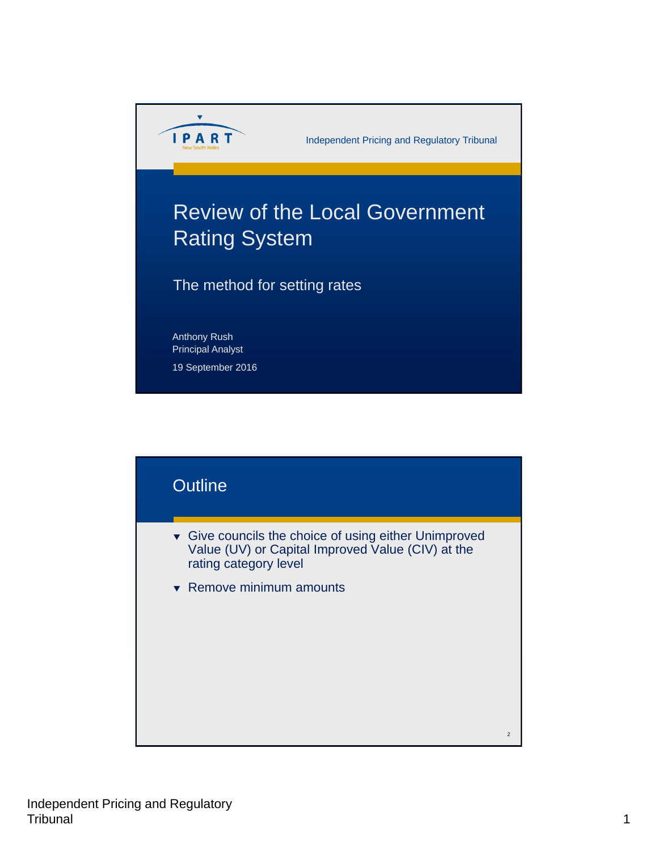

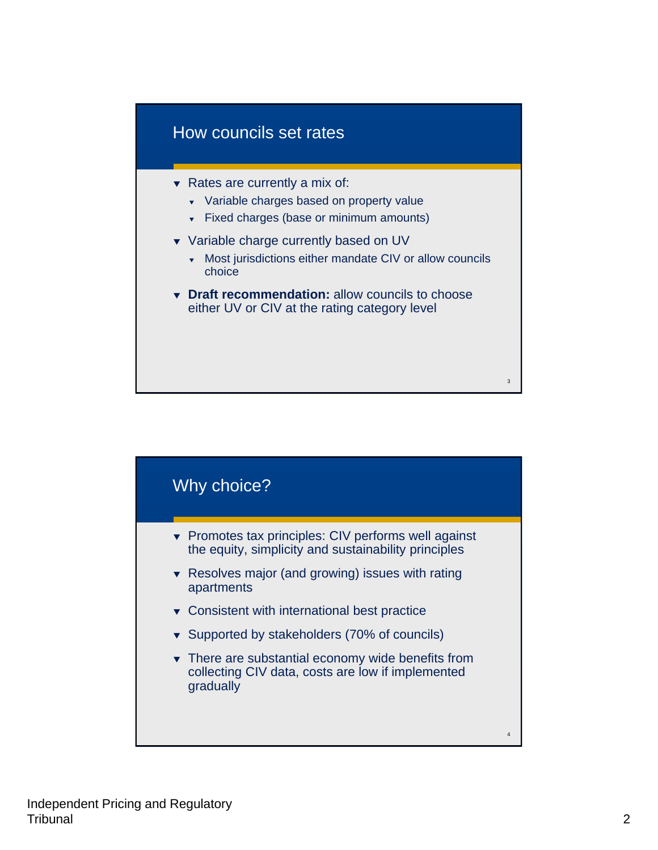

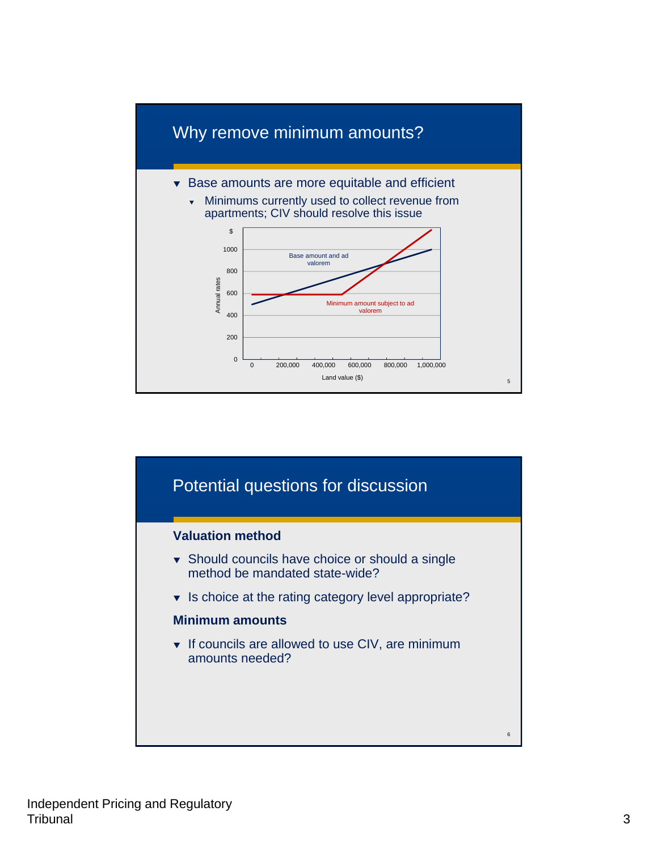